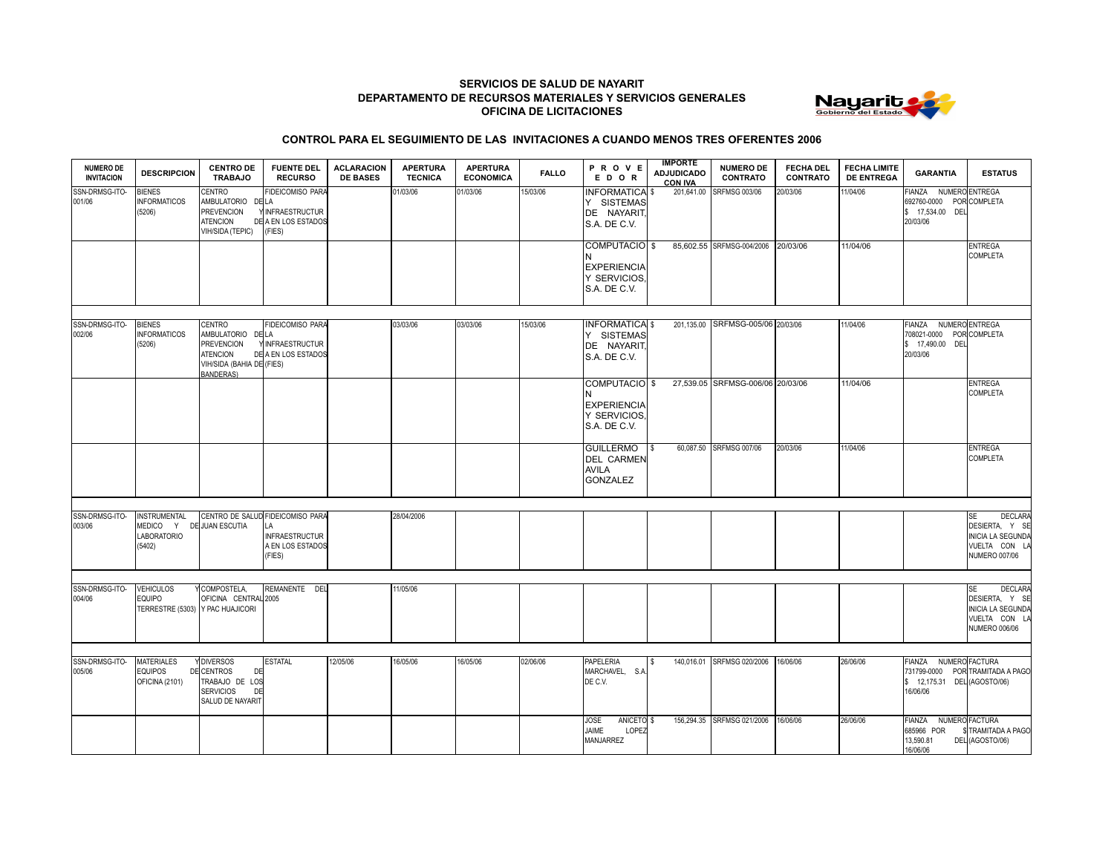## **SERVICIOS DE SALUD DE NAYARIT DEPARTAMENTO DE RECURSOS MATERIALES Y SERVICIOS GENERALES OFICINA DE LICITACIONES**



## **CONTROL PARA EL SEGUIMIENTO DE LAS INVITACIONES A CUANDO MENOS TRES OFERENTES 2006**

| <b>NUMERO DE</b><br><b>INVITACION</b> | <b>DESCRIPCION</b>                                                    | <b>CENTRO DE</b><br><b>TRABAJO</b>                                                                                   | <b>FUENTE DEL</b><br><b>RECURSO</b>                                                           | <b>ACLARACION</b><br><b>DE BASES</b> | <b>APERTURA</b><br><b>TECNICA</b> | <b>APERTURA</b><br><b>ECONOMICA</b> | <b>FALLO</b> | PROVE<br>EDOR                                                       | <b>IMPORTE</b><br><b>ADJUDICADO</b><br><b>CON IVA</b> | <b>NUMERO DE</b><br><b>CONTRATO</b> | <b>FECHA DEL</b><br><b>CONTRATO</b> | <b>FECHA LIMITE</b><br><b>DE ENTREGA</b> | <b>GARANTIA</b>                                                                   | <b>ESTATUS</b>                                                                                                     |
|---------------------------------------|-----------------------------------------------------------------------|----------------------------------------------------------------------------------------------------------------------|-----------------------------------------------------------------------------------------------|--------------------------------------|-----------------------------------|-------------------------------------|--------------|---------------------------------------------------------------------|-------------------------------------------------------|-------------------------------------|-------------------------------------|------------------------------------------|-----------------------------------------------------------------------------------|--------------------------------------------------------------------------------------------------------------------|
| SSN-DRMSG-ITO-<br>001/06              | <b>BIENES</b><br><b>INFORMATICOS</b><br>(5206)                        | CENTRO<br>AMBULATORIO DE LA<br><b>PREVENCION</b><br><b>ATENCION</b><br>VIH/SIDA (TEPIC)                              | <b>FIDEICOMISO PARA</b><br>Y INFRAESTRUCTUR<br>DE A EN LOS ESTADOS<br>(FIES)                  |                                      | 01/03/06                          | 01/03/06                            | 15/03/06     | <b>INFORMATICA \$</b><br>Y SISTEMAS<br>DE NAYARIT,<br>S.A. DE C.V.  | 201,641.00                                            | <b>SRFMSG 003/06</b>                | 20/03/06                            | 11/04/06                                 | FIANZA NUMERO ENTREGA<br>692760-0000 POR COMPLETA<br>\$ 17,534.00 DEL<br>20/03/06 |                                                                                                                    |
|                                       |                                                                       |                                                                                                                      |                                                                                               |                                      |                                   |                                     |              | COMPUTACIO \$<br><b>EXPERIENCIA</b><br>Y SERVICIOS.<br>S.A. DE C.V. |                                                       | 85,602.55 SRFMSG-004/2006 20/03/06  |                                     | 11/04/06                                 |                                                                                   | <b>ENTREGA</b><br><b>COMPLETA</b>                                                                                  |
| SSN-DRMSG-ITO-<br>002/06              | <b>BIENES</b><br><b>INFORMATICOS</b><br>(5206)                        | <b>CENTRO</b><br>AMBULATORIO DE LA<br><b>PREVENCION</b><br><b>ATENCION</b><br>VIH/SIDA (BAHIA DE (FIES)<br>BANDERAS) | <b>FIDEICOMISO PARA</b><br><b>INFRAESTRUCTUR</b><br>DE A EN LOS ESTADOS                       |                                      | 03/03/06                          | 03/03/06                            | 15/03/06     | <b>INFORMATICA \$</b><br>Y SISTEMAS<br>DE NAYARIT,<br>S.A. DE C.V.  |                                                       | 201,135.00 SRFMSG-005/06 20/03/06   |                                     | 11/04/06                                 | FIANZA<br>708021-0000 POR COMPLETA<br>\$ 17,490.00 DEL<br>20/03/06                | NUMERO ENTREGA                                                                                                     |
|                                       |                                                                       |                                                                                                                      |                                                                                               |                                      |                                   |                                     |              | COMPUTACIO \$<br><b>EXPERIENCIA</b><br>Y SERVICIOS,<br>S.A. DE C.V. |                                                       | 27,539.05 SRFMSG-006/06 20/03/06    |                                     | 11/04/06                                 |                                                                                   | <b>ENTREGA</b><br><b>COMPLETA</b>                                                                                  |
|                                       |                                                                       |                                                                                                                      |                                                                                               |                                      |                                   |                                     |              | <b>GUILLERMO</b><br><b>DEL CARMEN</b><br><b>AVILA</b><br>GONZALEZ   | -S                                                    | 60,087.50 SRFMSG 007/06             | 20/03/06                            | 11/04/06                                 |                                                                                   | <b>ENTREGA</b><br><b>COMPLETA</b>                                                                                  |
|                                       |                                                                       |                                                                                                                      |                                                                                               |                                      |                                   |                                     |              |                                                                     |                                                       |                                     |                                     |                                          |                                                                                   |                                                                                                                    |
| SSN-DRMSG-ITO-<br>003/06              | <b>INSTRUMENTAL</b><br>MEDICO Y<br>LABORATORIO<br>(5402)              | DE JUAN ESCUTIA                                                                                                      | CENTRO DE SALUD FIDEICOMISO PARA<br>LA<br><b>INFRAESTRUCTUR</b><br>A EN LOS ESTADOS<br>(FIES) |                                      | 28/04/2006                        |                                     |              |                                                                     |                                                       |                                     |                                     |                                          |                                                                                   | <b>DECLARA</b><br><b>SE</b><br>DESIERTA. Y SE<br><b>INICIA LA SEGUNDA</b><br>VUELTA CON LA<br><b>NUMERO 007/06</b> |
|                                       |                                                                       |                                                                                                                      |                                                                                               |                                      |                                   |                                     |              |                                                                     |                                                       |                                     |                                     |                                          |                                                                                   |                                                                                                                    |
| SSN-DRMSG-ITO-<br>004/06              | <b>VEHICULOS</b><br><b>EQUIPO</b><br>TERRESTRE (5303) Y PAC HUAJICORI | COMPOSTELA.<br>OFICINA CENTRAL 2005                                                                                  | REMANENTE DEL                                                                                 |                                      | 11/05/06                          |                                     |              |                                                                     |                                                       |                                     |                                     |                                          |                                                                                   | <b>DECLARA</b><br><b>SE</b><br>DESIERTA, Y SE<br><b>INICIA LA SEGUNDA</b><br>VUELTA CON LA<br><b>NUMERO 006/06</b> |
|                                       |                                                                       |                                                                                                                      |                                                                                               |                                      |                                   |                                     |              |                                                                     |                                                       |                                     |                                     |                                          |                                                                                   |                                                                                                                    |
| SSN-DRMSG-ITO-<br>005/06              | <b>MATERIALES</b><br><b>EQUIPOS</b><br>OFICINA (2101)                 | <b>DIVERSOS</b><br>DE CENTROS<br>DE<br>TRABAJO DE LOS<br><b>SERVICIOS</b><br>DE<br>SALUD DE NAYARIT                  | <b>ESTATAL</b>                                                                                | 12/05/06                             | 16/05/06                          | 16/05/06                            | 02/06/06     | <b>PAPELERIA</b><br>MARCHAVEL. S.A<br>DE C.V.                       |                                                       | 140.016.01 SRFMSG 020/2006          | 16/06/06                            | 26/06/06                                 | <b>FIANZA</b><br>\$ 12,175.31 DEL (AGOSTO/06)<br>16/06/06                         | NUMERO FACTURA<br>731799-0000 POR TRAMITADA A PAGO                                                                 |
|                                       |                                                                       |                                                                                                                      |                                                                                               |                                      |                                   |                                     |              | ANICETO <sub>\$</sub><br>JOSE<br>JAIME<br>LOPEZ<br>MANJARREZ        |                                                       | 156,294.35 SRFMSG 021/2006          | 16/06/06                            | 26/06/06                                 | FIANZA<br>685966 POR<br>13,590.81<br>16/06/06                                     | NUMERO FACTURA<br>TRAMITADA A PAGO<br>DEL (AGOSTO/06)                                                              |